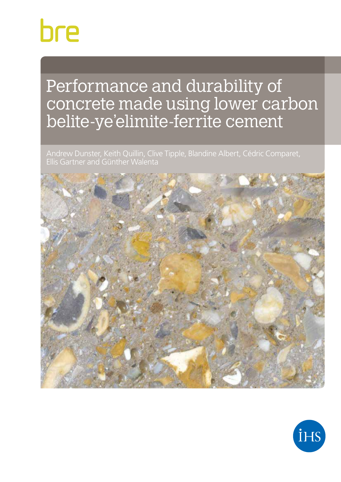# bre

# Performance and durability of concrete made using lower carbon belite-ye'elimite-ferrite cement

Andrew Dunster, Keith Quillin, Clive Tipple, Blandine Albert, Cédric Comparet, Ellis Gartner and Günther Walenta



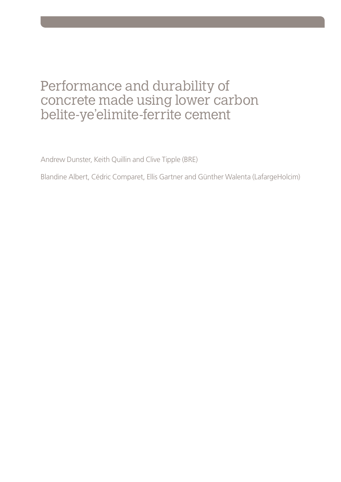### Performance and durability of concrete made using lower carbon belite-ye'elimite-ferrite cement

Andrew Dunster, Keith Quillin and Clive Tipple (BRE)

Blandine Albert, Cédric Comparet, Ellis Gartner and Günther Walenta (LafargeHolcim)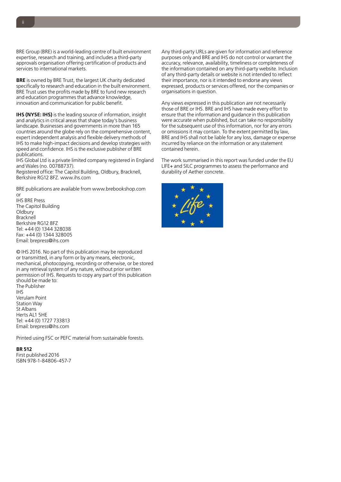BRE Group (BRE) is a world-leading centre of built environment expertise, research and training, and includes a third-party approvals organisation offering certification of products and services to international markets.

**BRE** is owned by BRE Trust, the largest UK charity dedicated specifically to research and education in the built environment. BRE Trust uses the profits made by BRE to fund new research and education programmes that advance knowledge, innovation and communication for public benefit.

**IHS (NYSE: IHS)** is the leading source of information, insight and analytics in critical areas that shape today's business landscape. Businesses and governments in more than 165 countries around the globe rely on the comprehensive content, expert independent analysis and flexible delivery methods of IHS to make high-impact decisions and develop strategies with speed and confidence. IHS is the exclusive publisher of BRE publications.

IHS Global Ltd is a private limited company registered in England and Wales (no. 00788737).

Registered office: The Capitol Building, Oldbury, Bracknell, Berkshire RG12 8FZ.<www.ihs.com>

BRE publications are available from<www.brebookshop.com> or

IHS BRE Press The Capitol Building **Oldbury** Bracknell Berkshire RG12 8FZ Tel: +44 (0) 1344 328038 Fax: +44 (0) 1344 328005 Email: [brepress@ihs.com](mailto:brepress@ihs.com)

© IHS 2016. No part of this publication may be reproduced or transmitted, in any form or by any means, electronic, mechanical, photocopying, recording or otherwise, or be stored in any retrieval system of any nature, without prior written permission of IHS. Requests to copy any part of this publication should be made to: The Publisher IHS Verulam Point Station Way St Albans Herts AL1 5HE Tel: +44 (0) 1727 733813

Email: [brepress@ihs.com](mailto:brepress@ihs.com) 

Printed using FSC or PEFC material from sustainable forests.

#### **BR 512**

First published 2016 ISBN 978-1-84806-457-7 Any third-party URLs are given for information and reference purposes only and BRE and IHS do not control or warrant the accuracy, relevance, availability, timeliness or completeness of the information contained on any third-party website. Inclusion of any third-party details or website is not intended to reflect their importance, nor is it intended to endorse any views expressed, products or services offered, nor the companies or organisations in question.

Any views expressed in this publication are not necessarily those of BRE or IHS. BRE and IHS have made every effort to ensure that the information and guidance in this publication were accurate when published, but can take no responsibility for the subsequent use of this information, nor for any errors or omissions it may contain. To the extent permitted by law, BRE and IHS shall not be liable for any loss, damage or expense incurred by reliance on the information or any statement contained herein.

The work summarised in this report was funded under the EU LIFE+ and SILC programmes to assess the performance and durability of Aether concrete.

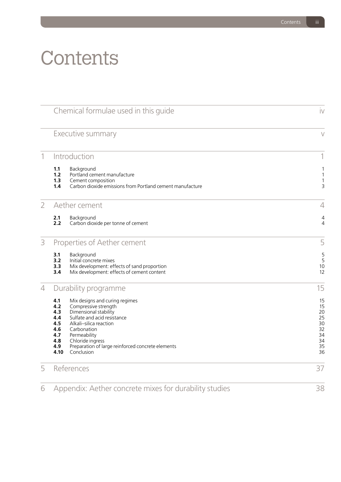# **Contents**

|                | Chemical formulae used in this guide                                                                                                                                                                                                                                                                                                  | İV                                                       |
|----------------|---------------------------------------------------------------------------------------------------------------------------------------------------------------------------------------------------------------------------------------------------------------------------------------------------------------------------------------|----------------------------------------------------------|
|                | Executive summary                                                                                                                                                                                                                                                                                                                     | $\vee$                                                   |
| 1              | Introduction                                                                                                                                                                                                                                                                                                                          | 1                                                        |
|                | Background<br>1.1<br>Portland cement manufacture<br>1.2<br>Cement composition<br>1.3<br>Carbon dioxide emissions from Portland cement manufacture<br>1.4                                                                                                                                                                              | 1<br>1<br>1<br>3                                         |
| $\overline{2}$ | Aether cement                                                                                                                                                                                                                                                                                                                         | 4                                                        |
|                | 2.1<br>Background<br>2.2<br>Carbon dioxide per tonne of cement                                                                                                                                                                                                                                                                        | 4<br>$\overline{4}$                                      |
| 3              | Properties of Aether cement                                                                                                                                                                                                                                                                                                           | 5                                                        |
|                | 3.1<br>Background<br>3.2<br>Initial concrete mixes<br>3.3<br>Mix development: effects of sand proportion<br>3.4<br>Mix development: effects of cement content                                                                                                                                                                         | 5<br>5<br>10<br>12                                       |
| 4              | Durability programme                                                                                                                                                                                                                                                                                                                  | 15                                                       |
|                | 4.1<br>Mix designs and curing regimes<br>4.2<br>Compressive strength<br>4.3<br>Dimensional stability<br>Sulfate and acid resistance<br>4.4<br>Alkali-silica reaction<br>4.5<br>Carbonation<br>4.6<br>4.7<br>Permeability<br>4.8<br>Chloride ingress<br>4.9<br>Preparation of large reinforced concrete elements<br>4.10<br>Conclusion | 15<br>15<br>20<br>25<br>30<br>32<br>34<br>34<br>35<br>36 |
| 5              | References<br>37                                                                                                                                                                                                                                                                                                                      |                                                          |

- 6 Appendix: Aether concrete mixes for durability studies 38
	-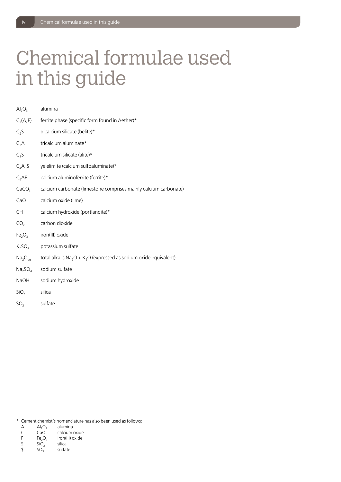# Chemical formulae used in this guide

| $\mathsf{Al}_2\mathsf{O}_3$     | alumina                                                                                   |
|---------------------------------|-------------------------------------------------------------------------------------------|
| $C_2(A,F)$                      | ferrite phase (specific form found in Aether)*                                            |
| $C_2S$                          | dicalcium silicate (belite)*                                                              |
| $C_3A$                          | tricalcium aluminate*                                                                     |
| $C_3S$                          | tricalcium silicate (alite)*                                                              |
| $C_4A_3\$                       | ye'elimite (calcium sulfoaluminate)*                                                      |
| $C_4$ AF                        | calcium aluminoferrite (ferrite)*                                                         |
| CaCO <sub>3</sub>               | calcium carbonate (limestone comprises mainly calcium carbonate)                          |
| CaO                             | calcium oxide (lime)                                                                      |
| CH                              | calcium hydroxide (portlandite)*                                                          |
| CO <sub>2</sub>                 | carbon dioxide                                                                            |
| Fe <sub>2</sub> O <sub>3</sub>  | iron(III) oxide                                                                           |
| K <sub>2</sub> SO <sub>4</sub>  | potassium sulfate                                                                         |
| Na <sub>2</sub> O <sub>eq</sub> | total alkalis Na <sub>2</sub> O + K <sub>2</sub> O (expressed as sodium oxide equivalent) |
| Na <sub>2</sub> SO <sub>4</sub> | sodium sulfate                                                                            |
| NaOH                            | sodium hydroxide                                                                          |
| SiO <sub>2</sub>                | silica                                                                                    |
| SO <sub>3</sub>                 | sulfate                                                                                   |

\* Cement chemist's nomenclature has also been used as follows:

- 
- A  $Al_2O_3$  alumina<br>
C CaO calcium<br>
F Fe<sub>2</sub>O<sub>3</sub> iron(III) c<br>
S SiO<sub>2</sub> silica calcium oxide
- $Fe<sub>2</sub>O<sub>3</sub>$  iron(III) oxide<br>SiO<sub>2</sub> silica
- S  $\overline{SO_2}$ <br> $\overline{SO_3}$
- sulfate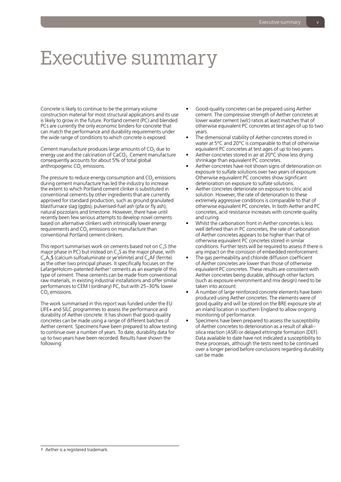### Executive summary

Concrete is likely to continue to be the primary volume construction material for most structural applications and its use is likely to grow in the future. Portland cement (PC) and blended PCs are currently the only economic binders for concrete that can match the performance and durability requirements under the wide range of conditions to which concrete is exposed.

Cement manufacture produces large amounts of CO<sub>2</sub> due to energy use and the calcination of CaCO<sub>3</sub>. Cement manufacture consequently accounts for about 5% of total global anthropogenic CO<sub>2</sub> emissions.

The pressure to reduce energy consumption and  $CO<sub>2</sub>$  emissions during cement manufacture has led the industry to increase the extent to which Portland cement clinker is substituted in conventional cements by other ingredients that are currently approved for standard production, such as ground granulated blastfurnace slag (ggbs), pulverised-fuel ash (pfa or fly ash), natural pozzolans and limestone. However, there have until recently been few serious attempts to develop novel cements based on alternative clinkers with intrinsically lower energy requirements and CO<sub>2</sub> emissions on manufacture than conventional Portland cement clinkers.

This report summarises work on cements based not on  $C_3S$  (the major phase in PC) but instead on  $C_2$ S as the major phase, with  $C_4A_3\$  (calcium sulfoaluminate or ye'elimite) and  $C_4A$ F (ferrite) as the other two principal phases. It specifically focuses on the LafargeHolcim-patented Aether† cements as an example of this type of cement. These cements can be made from conventional raw materials, in existing industrial installations and offer similar performances to CEM I (ordinary) PC, but with 25–30% lower CO<sub>2</sub> emissions.

The work summarised in this report was funded under the EU LIFE+ and SILC programmes to assess the performance and durability of Aether concrete. It has shown that good-quality concretes can be made using a range of different batches of Aether cement. Specimens have been prepared to allow testing to continue over a number of years. To date, durability data for up to two years have been recorded. Results have shown the following:

- Good-quality concretes can be prepared using Aether cement. The compressive strength of Aether concretes at lower water:cement (w/c) ratios at least matches that of otherwise equivalent PC concretes at test ages of up to two years.
- The dimensional stability of Aether concretes stored in water at 5ºC and 20ºC is comparable to that of otherwise equivalent PC concretes at test ages of up to two years.
- Aether concretes stored in air at 20°C show less drying shrinkage than equivalent PC concretes.
- Aether concretes have not shown signs of deterioration on exposure to sulfate solutions over two years of exposure. Otherwise equivalent PC concretes show significant deterioration on exposure to sulfate solutions.
- Aether concretes deteriorate on exposure to citric acid solution. However, the rate of deterioration to these extremely aggressive conditions is comparable to that of otherwise equivalent PC concretes. In both Aether and PC concretes, acid resistance increases with concrete quality and curing.
- Whilst the carbonation front in Aether concretes is less well defined than in PC concretes, the rate of carbonation of Aether concretes appears to be higher than that of otherwise equivalent PC concretes stored in similar conditions. Further tests will be required to assess if there is any impact on the corrosion of embedded reinforcement.
- The gas permeability and chloride diffusion coefficient of Aether concretes are lower than those of otherwise equivalent PC concretes. These results are consistent with Aether concretes being durable, although other factors (such as exposure environment and mix design) need to be taken into account.
- A number of large reinforced concrete elements have been produced using Aether concretes. The elements were of good quality and will be stored on the BRE exposure site at an inland location in southern England to allow ongoing monitoring of performance.
- Specimens have been prepared to assess the susceptibility of Aether concretes to deterioration as a result of alkali– silica reaction (ASR) or delayed ettringite formation (DEF). Data available to date have not indicated a susceptibility to these processes, although the tests need to be continued over a longer period before conclusions regarding durability can be made.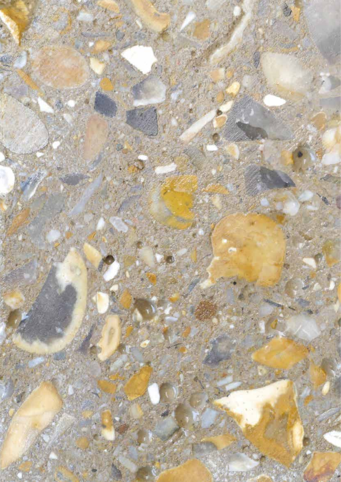